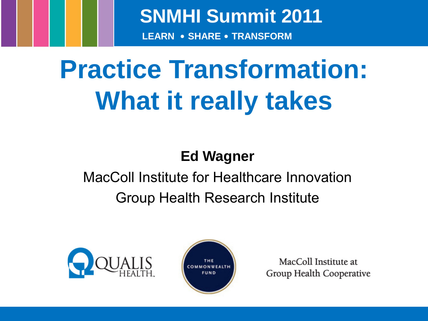**SNMHI Summit 2011**

**LEARN • SHARE • TRANSFORM**

# **Practice Transformation: What it really takes**

#### **Ed Wagner**

#### MacColl Institute for Healthcare Innovation Group Health Research Institute





MacColl Institute at Group Health Cooperative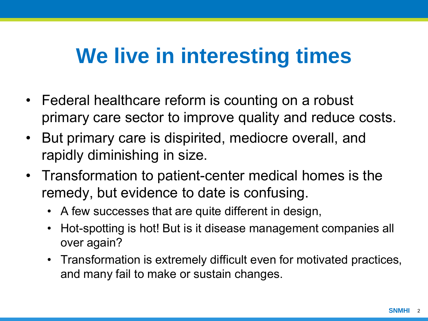### **We live in interesting times**

- Federal healthcare reform is counting on a robust primary care sector to improve quality and reduce costs.
- But primary care is dispirited, mediocre overall, and rapidly diminishing in size.
- Transformation to patient-center medical homes is the remedy, but evidence to date is confusing.
	- A few successes that are quite different in design,
	- Hot-spotting is hot! But is it disease management companies all over again?
	- Transformation is extremely difficult even for motivated practices, and many fail to make or sustain changes.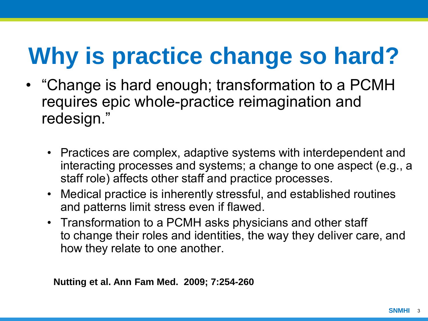## **Why is practice change so hard?**

- "Change is hard enough; transformation to a PCMH requires epic whole-practice reimagination and redesign."
	- Practices are complex, adaptive systems with interdependent and interacting processes and systems; a change to one aspect (e.g., a staff role) affects other staff and practice processes.
	- Medical practice is inherently stressful, and established routines and patterns limit stress even if flawed.
	- Transformation to a PCMH asks physicians and other staff to change their roles and identities, the way they deliver care, and how they relate to one another.

**Nutting et al. Ann Fam Med. 2009; 7:254-260**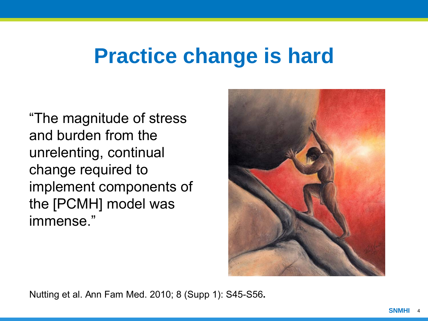#### **Practice change is hard**

"The magnitude of stress and burden from the unrelenting, continual change required to implement components of the [PCMH] model was immense."



Nutting et al. Ann Fam Med. 2010; 8 (Supp 1): S45-S56**.**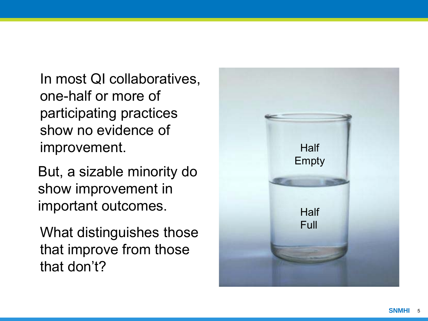In most QI collaboratives, one -half or more of participating practices show no evidence of improvement.

But, a sizable minority do show improvement in important outcomes.

What distinguishes those that improve from those that don't?

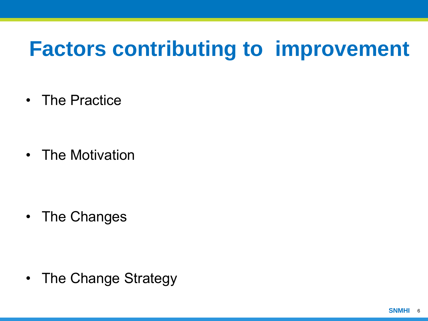### **Factors contributing to improvement**

• The Practice

• The Motivation

• The Changes

• The Change Strategy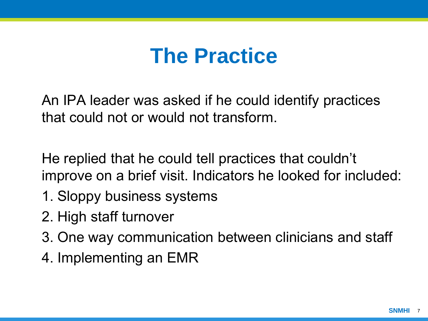#### **The Practice**

An IPA leader was asked if he could identify practices that could not or would not transform.

He replied that he could tell practices that couldn't improve on a brief visit. Indicators he looked for included:

- 1. Sloppy business systems
- 2. High staff turnover
- 3. One way communication between clinicians and staff
- 4. Implementing an EMR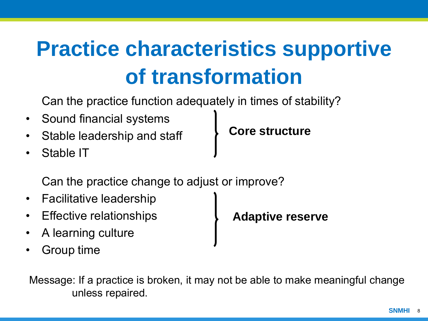### **Practice characteristics supportive of transformation**

Can the practice function adequately in times of stability?

- Sound financial systems
- Stable leadership and staff
- Stable IT

**Core structure**

Can the practice change to adjust or improve?

- Facilitative leadership
- Effective relationships
- A learning culture

• Group time

**Adaptive reserve**

Message: If a practice is broken, it may not be able to make meaningful change unless repaired.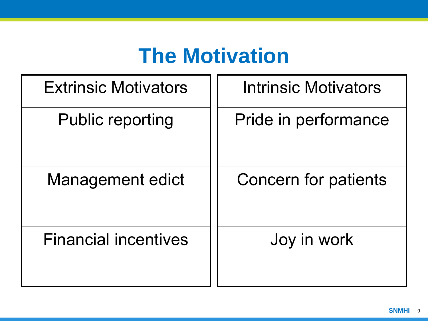### **The Motivation**

| <b>Extrinsic Motivators</b> | <b>Intrinsic Motivators</b> |
|-----------------------------|-----------------------------|
| <b>Public reporting</b>     | Pride in performance        |
| Management edict            | Concern for patients        |
| <b>Financial incentives</b> | Joy in work                 |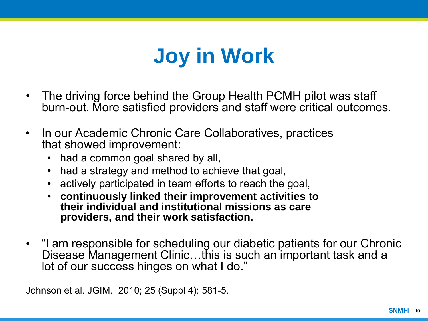### **Joy in Work**

- The driving force behind the Group Health PCMH pilot was staff burn-out. More satisfied providers and staff were critical outcomes.
- In our Academic Chronic Care Collaboratives, practices that showed improvement:
	- had a common goal shared by all,
	- had a strategy and method to achieve that goal,
	- actively participated in team efforts to reach the goal,
	- **continuously linked their improvement activities to their individual and institutional missions as care providers, and their work satisfaction.**
- "I am responsible for scheduling our diabetic patients for our Chronic Disease Management Clinic…this is such an important task and a lot of our success hinges on what I do."

Johnson et al. JGIM. 2010; 25 (Suppl 4): 581-5.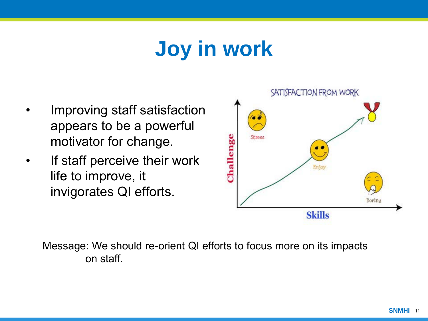### **Joy in work**

- Improving staff satisfaction appears to be a powerful motivator for change.
- If staff perceive their work life to improve, it invigorates QI efforts.



Message: We should re-orient QI efforts to focus more on its impacts on staff.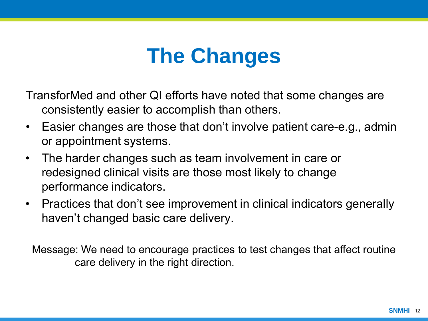### **The Changes**

TransforMed and other QI efforts have noted that some changes are consistently easier to accomplish than others.

- Easier changes are those that don't involve patient care-e.g., admin or appointment systems.
- The harder changes such as team involvement in care or redesigned clinical visits are those most likely to change performance indicators.
- Practices that don't see improvement in clinical indicators generally haven't changed basic care delivery.

Message: We need to encourage practices to test changes that affect routine care delivery in the right direction.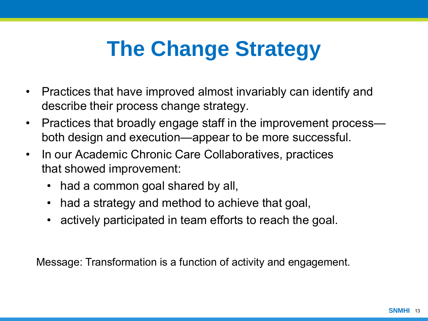### **The Change Strategy**

- Practices that have improved almost invariably can identify and describe their process change strategy.
- Practices that broadly engage staff in the improvement process both design and execution—appear to be more successful.
- In our Academic Chronic Care Collaboratives, practices that showed improvement:
	- had a common goal shared by all,
	- had a strategy and method to achieve that goal,
	- actively participated in team efforts to reach the goal.

Message: Transformation is a function of activity and engagement.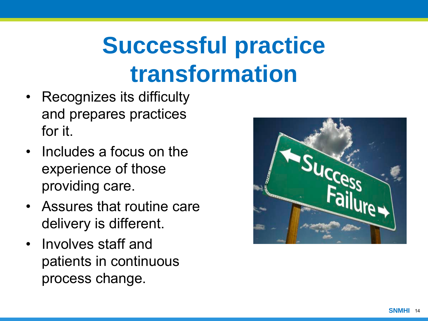## **Successful practice transformation**

- Recognizes its difficulty and prepares practices for it.
- Includes a focus on the experience of those providing care.
- Assures that routine care delivery is different.
- Involves staff and patients in continuous process change.